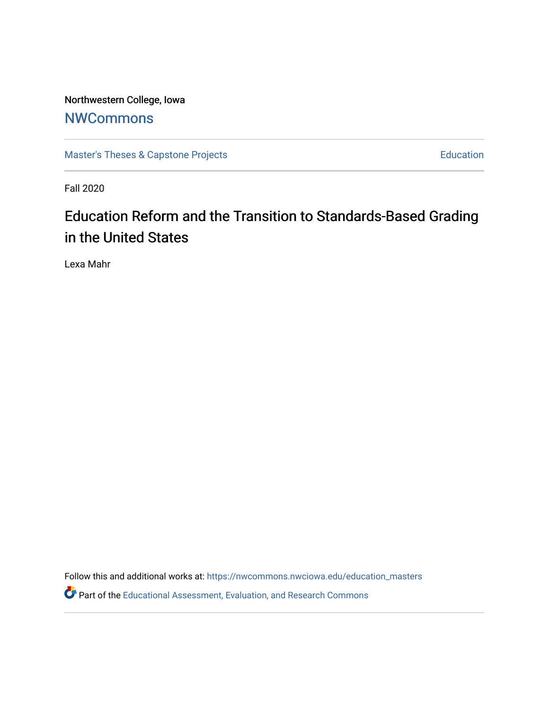Northwestern College, Iowa **[NWCommons](https://nwcommons.nwciowa.edu/)** 

[Master's Theses & Capstone Projects](https://nwcommons.nwciowa.edu/education_masters) **Education** Education

Fall 2020

# Education Reform and the Transition to Standards-Based Grading in the United States

Lexa Mahr

Follow this and additional works at: [https://nwcommons.nwciowa.edu/education\\_masters](https://nwcommons.nwciowa.edu/education_masters?utm_source=nwcommons.nwciowa.edu%2Feducation_masters%2F268&utm_medium=PDF&utm_campaign=PDFCoverPages)

Part of the [Educational Assessment, Evaluation, and Research Commons](http://network.bepress.com/hgg/discipline/796?utm_source=nwcommons.nwciowa.edu%2Feducation_masters%2F268&utm_medium=PDF&utm_campaign=PDFCoverPages)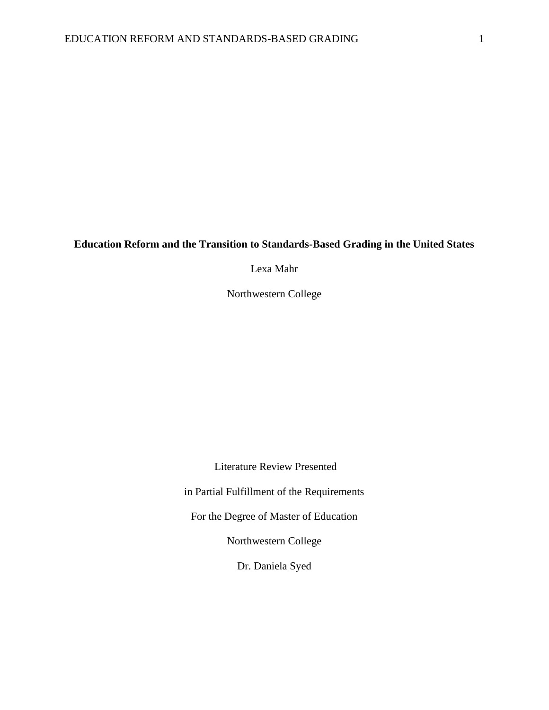# **Education Reform and the Transition to Standards-Based Grading in the United States**

Lexa Mahr

Northwestern College

Literature Review Presented

in Partial Fulfillment of the Requirements

For the Degree of Master of Education

Northwestern College

Dr. Daniela Syed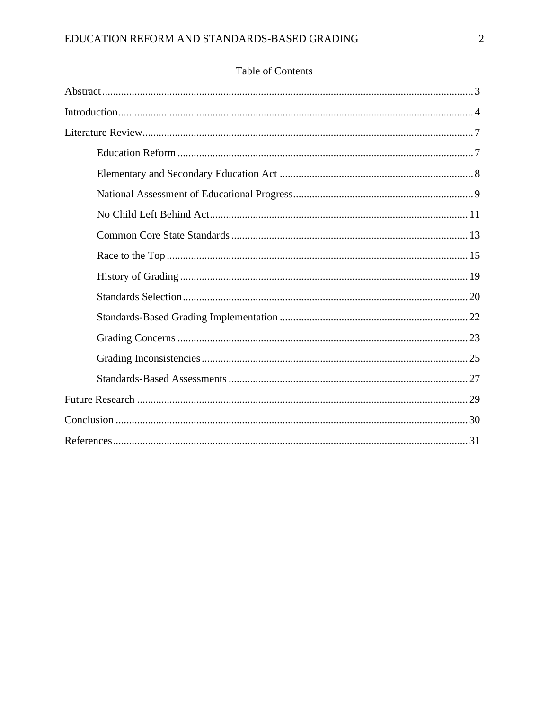# Table of Contents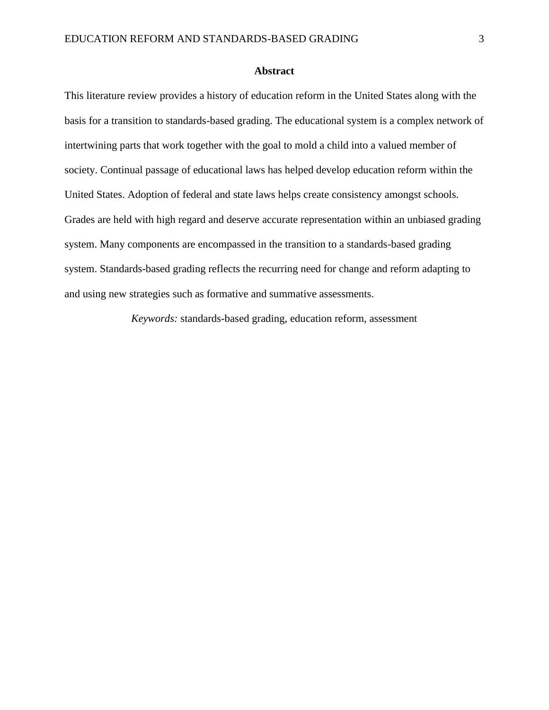#### **Abstract**

This literature review provides a history of education reform in the United States along with the basis for a transition to standards-based grading. The educational system is a complex network of intertwining parts that work together with the goal to mold a child into a valued member of society. Continual passage of educational laws has helped develop education reform within the United States. Adoption of federal and state laws helps create consistency amongst schools. Grades are held with high regard and deserve accurate representation within an unbiased grading system. Many components are encompassed in the transition to a standards-based grading system. Standards-based grading reflects the recurring need for change and reform adapting to and using new strategies such as formative and summative assessments.

*Keywords:* standards-based grading, education reform, assessment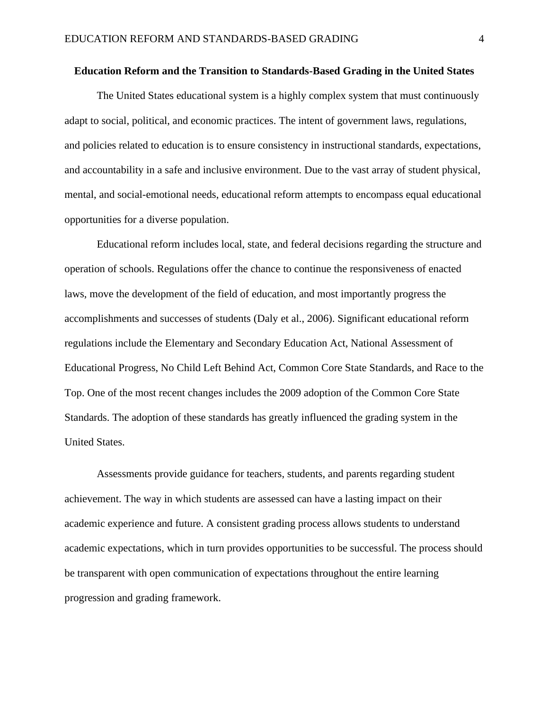#### **Education Reform and the Transition to Standards-Based Grading in the United States**

The United States educational system is a highly complex system that must continuously adapt to social, political, and economic practices. The intent of government laws, regulations, and policies related to education is to ensure consistency in instructional standards, expectations, and accountability in a safe and inclusive environment. Due to the vast array of student physical, mental, and social-emotional needs, educational reform attempts to encompass equal educational opportunities for a diverse population.

Educational reform includes local, state, and federal decisions regarding the structure and operation of schools. Regulations offer the chance to continue the responsiveness of enacted laws, move the development of the field of education, and most importantly progress the accomplishments and successes of students (Daly et al., 2006). Significant educational reform regulations include the Elementary and Secondary Education Act, National Assessment of Educational Progress, No Child Left Behind Act, Common Core State Standards, and Race to the Top. One of the most recent changes includes the 2009 adoption of the Common Core State Standards. The adoption of these standards has greatly influenced the grading system in the United States.

Assessments provide guidance for teachers, students, and parents regarding student achievement. The way in which students are assessed can have a lasting impact on their academic experience and future. A consistent grading process allows students to understand academic expectations, which in turn provides opportunities to be successful. The process should be transparent with open communication of expectations throughout the entire learning progression and grading framework.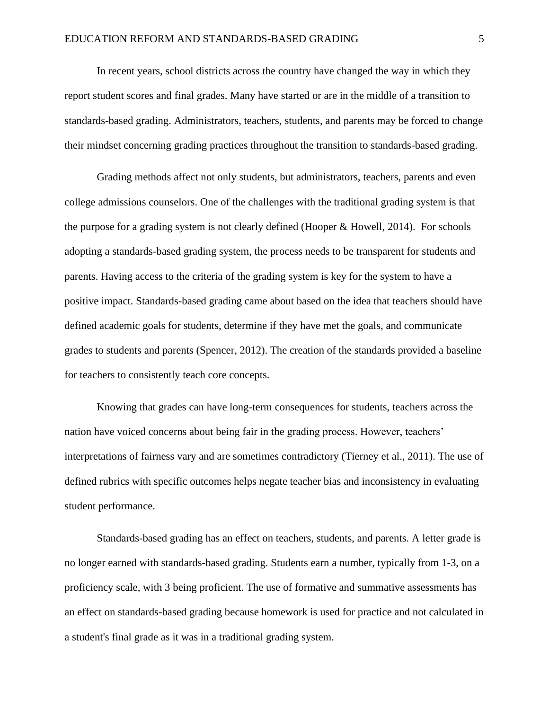In recent years, school districts across the country have changed the way in which they report student scores and final grades. Many have started or are in the middle of a transition to standards-based grading. Administrators, teachers, students, and parents may be forced to change their mindset concerning grading practices throughout the transition to standards-based grading.

Grading methods affect not only students, but administrators, teachers, parents and even college admissions counselors. One of the challenges with the traditional grading system is that the purpose for a grading system is not clearly defined (Hooper & Howell, 2014). For schools adopting a standards-based grading system, the process needs to be transparent for students and parents. Having access to the criteria of the grading system is key for the system to have a positive impact. Standards-based grading came about based on the idea that teachers should have defined academic goals for students, determine if they have met the goals, and communicate grades to students and parents (Spencer, 2012). The creation of the standards provided a baseline for teachers to consistently teach core concepts.

Knowing that grades can have long-term consequences for students, teachers across the nation have voiced concerns about being fair in the grading process. However, teachers' interpretations of fairness vary and are sometimes contradictory (Tierney et al., 2011). The use of defined rubrics with specific outcomes helps negate teacher bias and inconsistency in evaluating student performance.

Standards-based grading has an effect on teachers, students, and parents. A letter grade is no longer earned with standards-based grading. Students earn a number, typically from 1-3, on a proficiency scale, with 3 being proficient. The use of formative and summative assessments has an effect on standards-based grading because homework is used for practice and not calculated in a student's final grade as it was in a traditional grading system.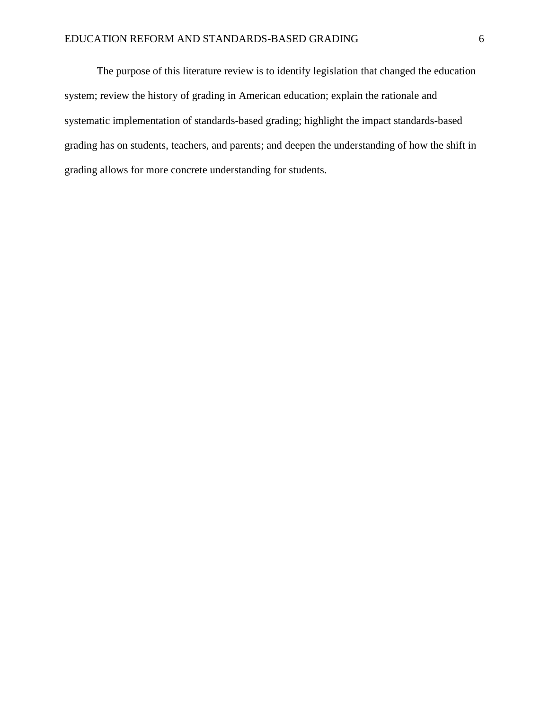The purpose of this literature review is to identify legislation that changed the education system; review the history of grading in American education; explain the rationale and systematic implementation of standards-based grading; highlight the impact standards-based grading has on students, teachers, and parents; and deepen the understanding of how the shift in grading allows for more concrete understanding for students.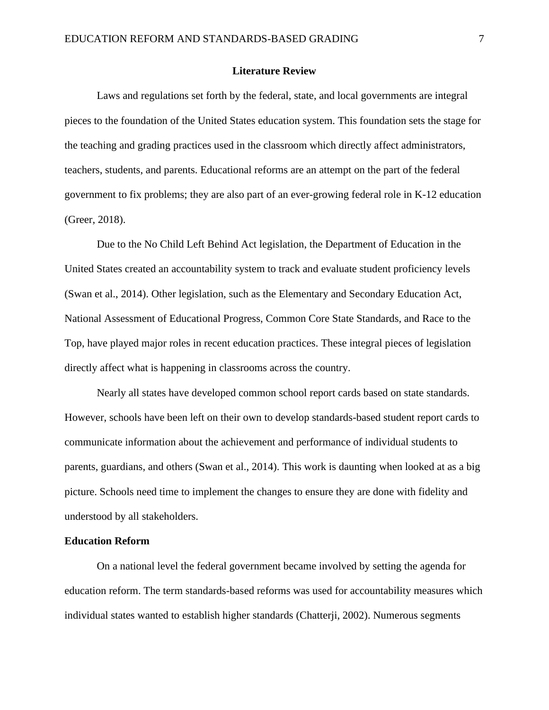#### **Literature Review**

Laws and regulations set forth by the federal, state, and local governments are integral pieces to the foundation of the United States education system. This foundation sets the stage for the teaching and grading practices used in the classroom which directly affect administrators, teachers, students, and parents. Educational reforms are an attempt on the part of the federal government to fix problems; they are also part of an ever-growing federal role in K-12 education (Greer, 2018).

Due to the No Child Left Behind Act legislation, the Department of Education in the United States created an accountability system to track and evaluate student proficiency levels (Swan et al., 2014). Other legislation, such as the Elementary and Secondary Education Act, National Assessment of Educational Progress, Common Core State Standards, and Race to the Top, have played major roles in recent education practices. These integral pieces of legislation directly affect what is happening in classrooms across the country.

Nearly all states have developed common school report cards based on state standards. However, schools have been left on their own to develop standards-based student report cards to communicate information about the achievement and performance of individual students to parents, guardians, and others (Swan et al., 2014). This work is daunting when looked at as a big picture. Schools need time to implement the changes to ensure they are done with fidelity and understood by all stakeholders.

## **Education Reform**

On a national level the federal government became involved by setting the agenda for education reform. The term standards-based reforms was used for accountability measures which individual states wanted to establish higher standards (Chatterji, 2002). Numerous segments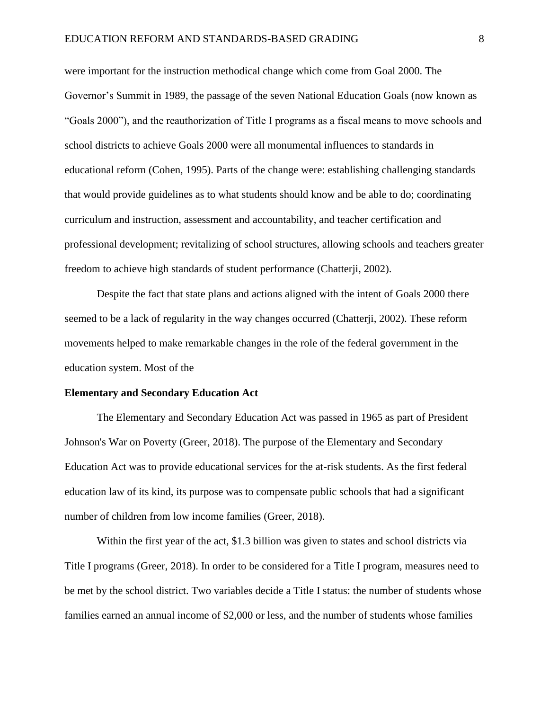were important for the instruction methodical change which come from Goal 2000. The Governor's Summit in 1989, the passage of the seven National Education Goals (now known as "Goals 2000"), and the reauthorization of Title I programs as a fiscal means to move schools and school districts to achieve Goals 2000 were all monumental influences to standards in educational reform (Cohen, 1995). Parts of the change were: establishing challenging standards that would provide guidelines as to what students should know and be able to do; coordinating curriculum and instruction, assessment and accountability, and teacher certification and professional development; revitalizing of school structures, allowing schools and teachers greater freedom to achieve high standards of student performance (Chatterji, 2002).

Despite the fact that state plans and actions aligned with the intent of Goals 2000 there seemed to be a lack of regularity in the way changes occurred (Chatterji, 2002). These reform movements helped to make remarkable changes in the role of the federal government in the education system. Most of the

#### **Elementary and Secondary Education Act**

The Elementary and Secondary Education Act was passed in 1965 as part of President Johnson's War on Poverty (Greer, 2018). The purpose of the Elementary and Secondary Education Act was to provide educational services for the at-risk students. As the first federal education law of its kind, its purpose was to compensate public schools that had a significant number of children from low income families (Greer, 2018).

Within the first year of the act, \$1.3 billion was given to states and school districts via Title I programs (Greer, 2018). In order to be considered for a Title I program, measures need to be met by the school district. Two variables decide a Title I status: the number of students whose families earned an annual income of \$2,000 or less, and the number of students whose families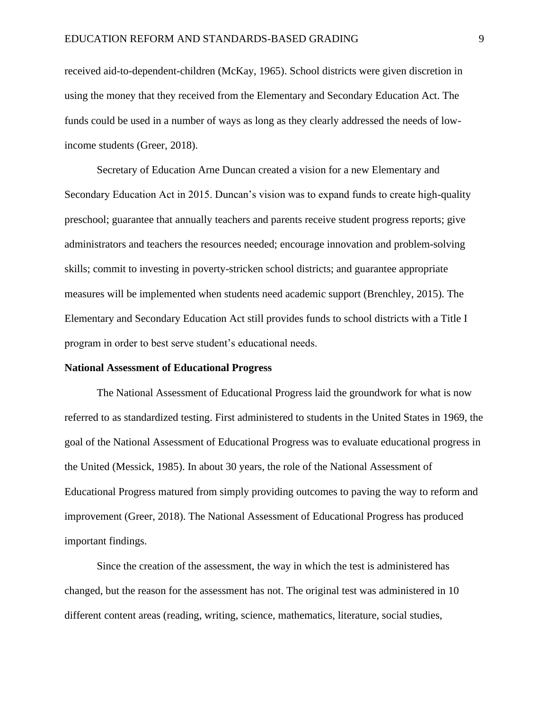received aid-to-dependent-children (McKay, 1965). School districts were given discretion in using the money that they received from the Elementary and Secondary Education Act. The funds could be used in a number of ways as long as they clearly addressed the needs of lowincome students (Greer, 2018).

Secretary of Education Arne Duncan created a vision for a new Elementary and Secondary Education Act in 2015. Duncan's vision was to expand funds to create high-quality preschool; guarantee that annually teachers and parents receive student progress reports; give administrators and teachers the resources needed; encourage innovation and problem-solving skills; commit to investing in poverty-stricken school districts; and guarantee appropriate measures will be implemented when students need academic support (Brenchley, 2015). The Elementary and Secondary Education Act still provides funds to school districts with a Title I program in order to best serve student's educational needs.

#### **National Assessment of Educational Progress**

The National Assessment of Educational Progress laid the groundwork for what is now referred to as standardized testing. First administered to students in the United States in 1969, the goal of the National Assessment of Educational Progress was to evaluate educational progress in the United (Messick, 1985). In about 30 years, the role of the National Assessment of Educational Progress matured from simply providing outcomes to paving the way to reform and improvement (Greer, 2018). The National Assessment of Educational Progress has produced important findings.

Since the creation of the assessment, the way in which the test is administered has changed, but the reason for the assessment has not. The original test was administered in 10 different content areas (reading, writing, science, mathematics, literature, social studies,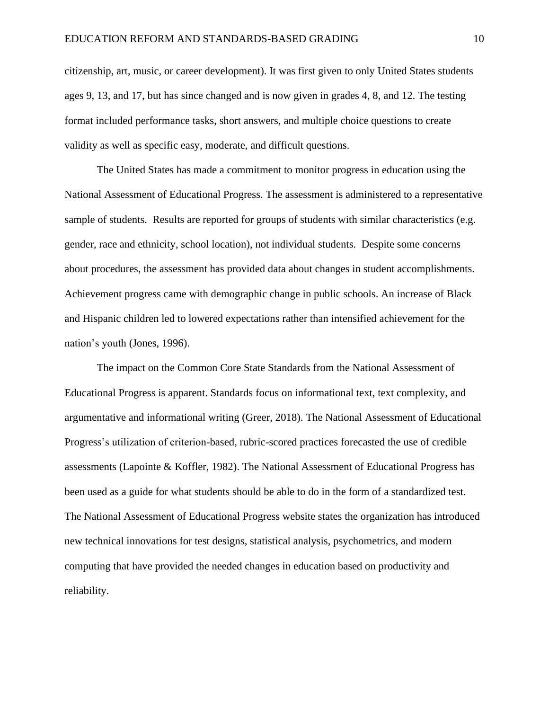citizenship, art, music, or career development). It was first given to only United States students ages 9, 13, and 17, but has since changed and is now given in grades 4, 8, and 12. The testing format included performance tasks, short answers, and multiple choice questions to create validity as well as specific easy, moderate, and difficult questions.

The United States has made a commitment to monitor progress in education using the National Assessment of Educational Progress. The assessment is administered to a representative sample of students. Results are reported for groups of students with similar characteristics (e.g. gender, race and ethnicity, school location), not individual students. Despite some concerns about procedures, the assessment has provided data about changes in student accomplishments. Achievement progress came with demographic change in public schools. An increase of Black and Hispanic children led to lowered expectations rather than intensified achievement for the nation's youth (Jones, 1996).

The impact on the Common Core State Standards from the National Assessment of Educational Progress is apparent. Standards focus on informational text, text complexity, and argumentative and informational writing (Greer, 2018). The National Assessment of Educational Progress's utilization of criterion-based, rubric-scored practices forecasted the use of credible assessments (Lapointe & Koffler, 1982). The National Assessment of Educational Progress has been used as a guide for what students should be able to do in the form of a standardized test. The National Assessment of Educational Progress website states the organization has introduced new technical innovations for test designs, statistical analysis, psychometrics, and modern computing that have provided the needed changes in education based on productivity and reliability.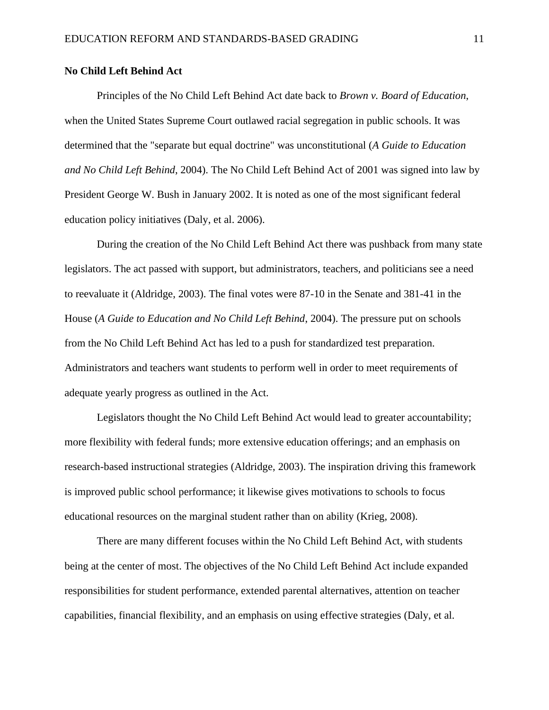## **No Child Left Behind Act**

Principles of the No Child Left Behind Act date back to *Brown v. Board of Education*, when the United States Supreme Court outlawed racial segregation in public schools. It was determined that the "separate but equal doctrine" was unconstitutional (*A Guide to Education and No Child Left Behind*, 2004). The No Child Left Behind Act of 2001 was signed into law by President George W. Bush in January 2002. It is noted as one of the most significant federal education policy initiatives (Daly, et al. 2006).

During the creation of the No Child Left Behind Act there was pushback from many state legislators. The act passed with support, but administrators, teachers, and politicians see a need to reevaluate it (Aldridge, 2003). The final votes were 87-10 in the Senate and 381-41 in the House (*A Guide to Education and No Child Left Behind*, 2004). The pressure put on schools from the No Child Left Behind Act has led to a push for standardized test preparation. Administrators and teachers want students to perform well in order to meet requirements of adequate yearly progress as outlined in the Act.

Legislators thought the No Child Left Behind Act would lead to greater accountability; more flexibility with federal funds; more extensive education offerings; and an emphasis on research-based instructional strategies (Aldridge, 2003). The inspiration driving this framework is improved public school performance; it likewise gives motivations to schools to focus educational resources on the marginal student rather than on ability (Krieg, 2008).

There are many different focuses within the No Child Left Behind Act, with students being at the center of most. The objectives of the No Child Left Behind Act include expanded responsibilities for student performance, extended parental alternatives, attention on teacher capabilities, financial flexibility, and an emphasis on using effective strategies (Daly, et al.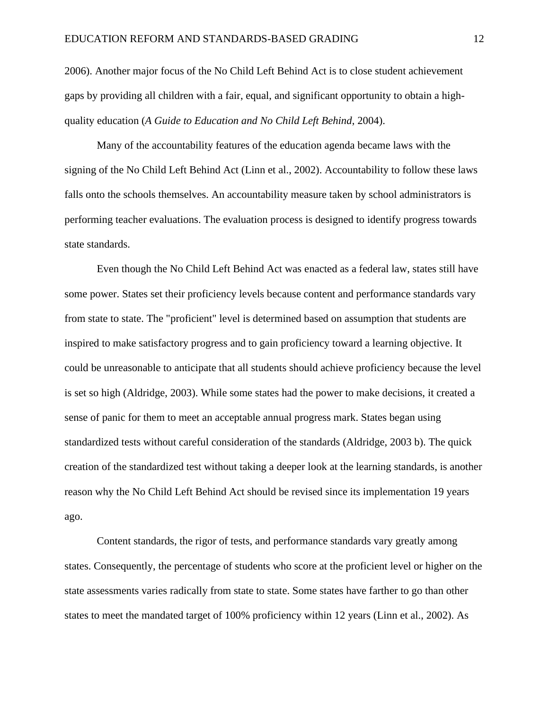2006). Another major focus of the No Child Left Behind Act is to close student achievement gaps by providing all children with a fair, equal, and significant opportunity to obtain a highquality education (*A Guide to Education and No Child Left Behind*, 2004).

Many of the accountability features of the education agenda became laws with the signing of the No Child Left Behind Act (Linn et al., 2002). Accountability to follow these laws falls onto the schools themselves. An accountability measure taken by school administrators is performing teacher evaluations. The evaluation process is designed to identify progress towards state standards.

Even though the No Child Left Behind Act was enacted as a federal law, states still have some power. States set their proficiency levels because content and performance standards vary from state to state. The "proficient" level is determined based on assumption that students are inspired to make satisfactory progress and to gain proficiency toward a learning objective. It could be unreasonable to anticipate that all students should achieve proficiency because the level is set so high (Aldridge, 2003). While some states had the power to make decisions, it created a sense of panic for them to meet an acceptable annual progress mark. States began using standardized tests without careful consideration of the standards (Aldridge, 2003 b). The quick creation of the standardized test without taking a deeper look at the learning standards, is another reason why the No Child Left Behind Act should be revised since its implementation 19 years ago.

Content standards, the rigor of tests, and performance standards vary greatly among states. Consequently, the percentage of students who score at the proficient level or higher on the state assessments varies radically from state to state. Some states have farther to go than other states to meet the mandated target of 100% proficiency within 12 years (Linn et al., 2002). As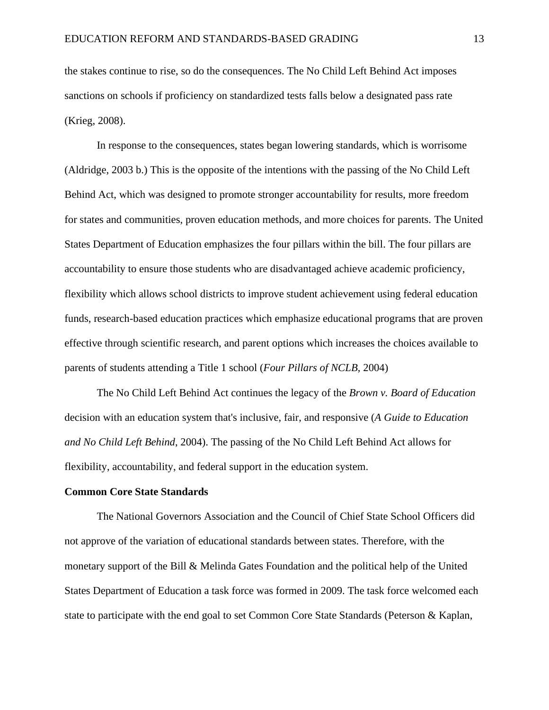the stakes continue to rise, so do the consequences. The No Child Left Behind Act imposes sanctions on schools if proficiency on standardized tests falls below a designated pass rate (Krieg, 2008).

In response to the consequences, states began lowering standards, which is worrisome (Aldridge, 2003 b.) This is the opposite of the intentions with the passing of the No Child Left Behind Act, which was designed to promote stronger accountability for results, more freedom for states and communities, proven education methods, and more choices for parents. The United States Department of Education emphasizes the four pillars within the bill. The four pillars are accountability to ensure those students who are disadvantaged achieve academic proficiency, flexibility which allows school districts to improve student achievement using federal education funds, research-based education practices which emphasize educational programs that are proven effective through scientific research, and parent options which increases the choices available to parents of students attending a Title 1 school (*Four Pillars of NCLB,* 2004)

The No Child Left Behind Act continues the legacy of the *Brown v. Board of Education* decision with an education system that's inclusive, fair, and responsive (*A Guide to Education and No Child Left Behind*, 2004). The passing of the No Child Left Behind Act allows for flexibility, accountability, and federal support in the education system.

#### **Common Core State Standards**

The National Governors Association and the Council of Chief State School Officers did not approve of the variation of educational standards between states. Therefore, with the monetary support of the Bill & Melinda Gates Foundation and the political help of the United States Department of Education a task force was formed in 2009. The task force welcomed each state to participate with the end goal to set Common Core State Standards (Peterson & Kaplan,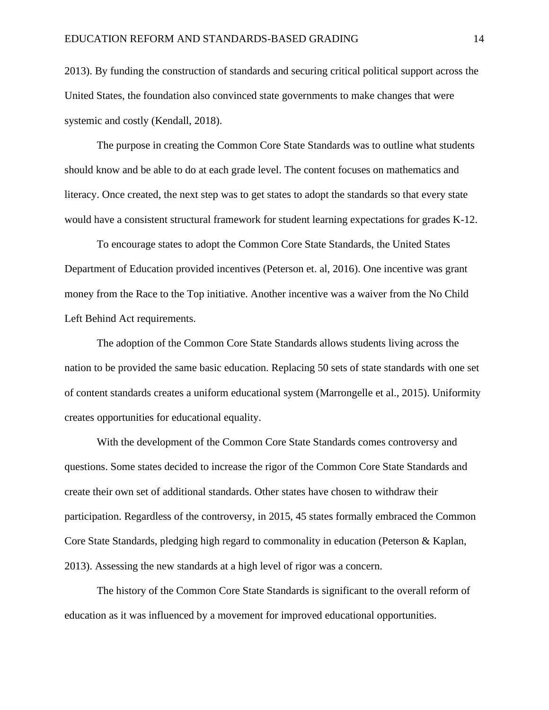2013). By funding the construction of standards and securing critical political support across the United States, the foundation also convinced state governments to make changes that were systemic and costly (Kendall, 2018).

The purpose in creating the Common Core State Standards was to outline what students should know and be able to do at each grade level. The content focuses on mathematics and literacy. Once created, the next step was to get states to adopt the standards so that every state would have a consistent structural framework for student learning expectations for grades K-12.

To encourage states to adopt the Common Core State Standards, the United States Department of Education provided incentives (Peterson et. al, 2016). One incentive was grant money from the Race to the Top initiative. Another incentive was a waiver from the No Child Left Behind Act requirements.

The adoption of the Common Core State Standards allows students living across the nation to be provided the same basic education. Replacing 50 sets of state standards with one set of content standards creates a uniform educational system (Marrongelle et al., 2015). Uniformity creates opportunities for educational equality.

With the development of the Common Core State Standards comes controversy and questions. Some states decided to increase the rigor of the Common Core State Standards and create their own set of additional standards. Other states have chosen to withdraw their participation. Regardless of the controversy, in 2015, 45 states formally embraced the Common Core State Standards, pledging high regard to commonality in education (Peterson & Kaplan, 2013). Assessing the new standards at a high level of rigor was a concern.

The history of the Common Core State Standards is significant to the overall reform of education as it was influenced by a movement for improved educational opportunities.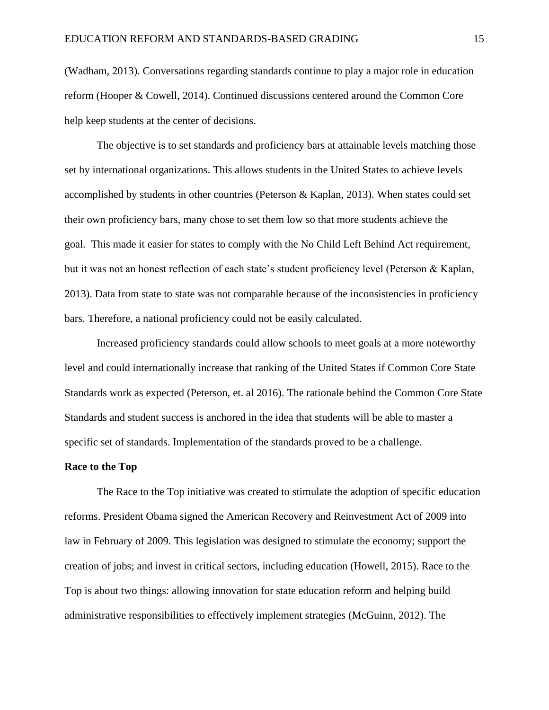(Wadham, 2013). Conversations regarding standards continue to play a major role in education reform (Hooper & Cowell, 2014). Continued discussions centered around the Common Core help keep students at the center of decisions.

The objective is to set standards and proficiency bars at attainable levels matching those set by international organizations. This allows students in the United States to achieve levels accomplished by students in other countries (Peterson & Kaplan, 2013). When states could set their own proficiency bars, many chose to set them low so that more students achieve the goal. This made it easier for states to comply with the No Child Left Behind Act requirement, but it was not an honest reflection of each state's student proficiency level (Peterson & Kaplan, 2013). Data from state to state was not comparable because of the inconsistencies in proficiency bars. Therefore, a national proficiency could not be easily calculated.

Increased proficiency standards could allow schools to meet goals at a more noteworthy level and could internationally increase that ranking of the United States if Common Core State Standards work as expected (Peterson, et. al 2016). The rationale behind the Common Core State Standards and student success is anchored in the idea that students will be able to master a specific set of standards. Implementation of the standards proved to be a challenge.

#### **Race to the Top**

The Race to the Top initiative was created to stimulate the adoption of specific education reforms. President Obama signed the American Recovery and Reinvestment Act of 2009 into law in February of 2009. This legislation was designed to stimulate the economy; support the creation of jobs; and invest in critical sectors, including education (Howell, 2015). Race to the Top is about two things: allowing innovation for state education reform and helping build administrative responsibilities to effectively implement strategies (McGuinn, 2012). The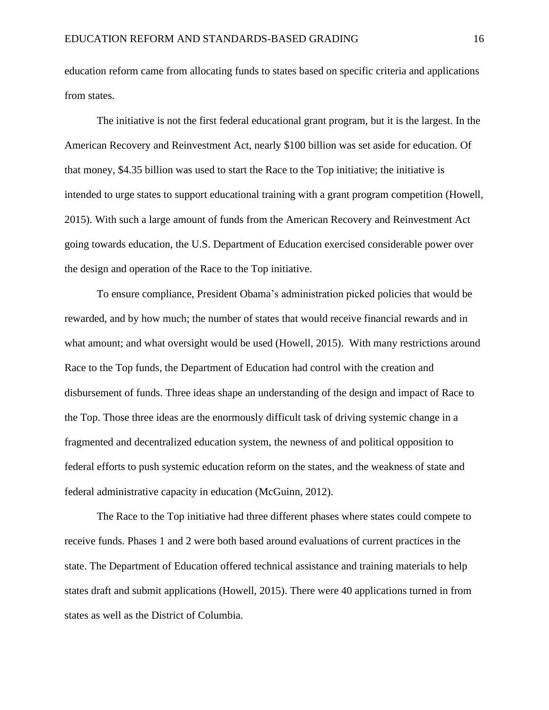education reform came from allocating funds to states based on specific criteria and applications from states.

The initiative is not the first federal educational grant program, but it is the largest. In the American Recovery and Reinvestment Act, nearly \$100 billion was set aside for education. Of that money, \$4.35 billion was used to start the Race to the Top initiative; the initiative is intended to urge states to support educational training with a grant program competition (Howell, 2015). With such a large amount of funds from the American Recovery and Reinvestment Act going towards education, the U.S. Department of Education exercised considerable power over the design and operation of the Race to the Top initiative.

To ensure compliance, President Obama's administration picked policies that would be rewarded, and by how much; the number of states that would receive financial rewards and in what amount; and what oversight would be used (Howell, 2015). With many restrictions around Race to the Top funds, the Department of Education had control with the creation and disbursement of funds. Three ideas shape an understanding of the design and impact of Race to the Top. Those three ideas are the enormously difficult task of driving systemic change in a fragmented and decentralized education system, the newness of and political opposition to federal efforts to push systemic education reform on the states, and the weakness of state and federal administrative capacity in education (McGuinn, 2012).

The Race to the Top initiative had three different phases where states could compete to receive funds. Phases 1 and 2 were both based around evaluations of current practices in the state. The Department of Education offered technical assistance and training materials to help states draft and submit applications (Howell, 2015). There were 40 applications turned in from states as well as the District of Columbia.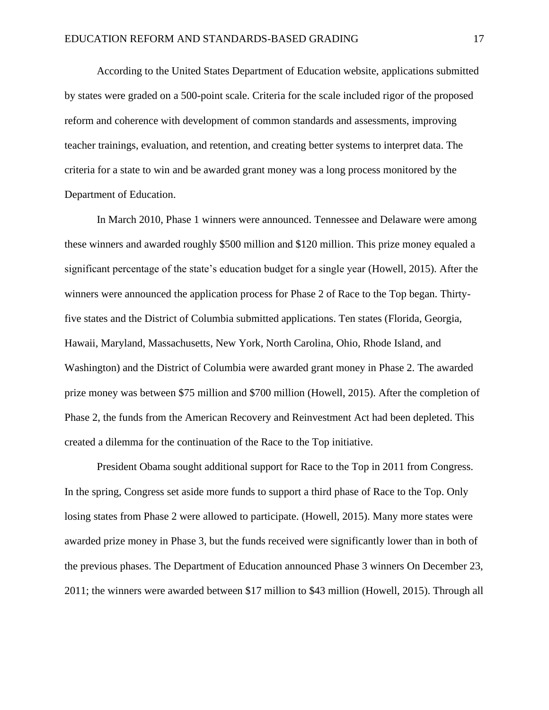According to the United States Department of Education website, applications submitted by states were graded on a 500-point scale. Criteria for the scale included rigor of the proposed reform and coherence with development of common standards and assessments, improving teacher trainings, evaluation, and retention, and creating better systems to interpret data. The criteria for a state to win and be awarded grant money was a long process monitored by the Department of Education.

In March 2010, Phase 1 winners were announced. Tennessee and Delaware were among these winners and awarded roughly \$500 million and \$120 million. This prize money equaled a significant percentage of the state's education budget for a single year (Howell, 2015). After the winners were announced the application process for Phase 2 of Race to the Top began. Thirtyfive states and the District of Columbia submitted applications. Ten states (Florida, Georgia, Hawaii, Maryland, Massachusetts, New York, North Carolina, Ohio, Rhode Island, and Washington) and the District of Columbia were awarded grant money in Phase 2. The awarded prize money was between \$75 million and \$700 million (Howell, 2015). After the completion of Phase 2, the funds from the American Recovery and Reinvestment Act had been depleted. This created a dilemma for the continuation of the Race to the Top initiative.

President Obama sought additional support for Race to the Top in 2011 from Congress. In the spring, Congress set aside more funds to support a third phase of Race to the Top. Only losing states from Phase 2 were allowed to participate. (Howell, 2015). Many more states were awarded prize money in Phase 3, but the funds received were significantly lower than in both of the previous phases. The Department of Education announced Phase 3 winners On December 23, 2011; the winners were awarded between \$17 million to \$43 million (Howell, 2015). Through all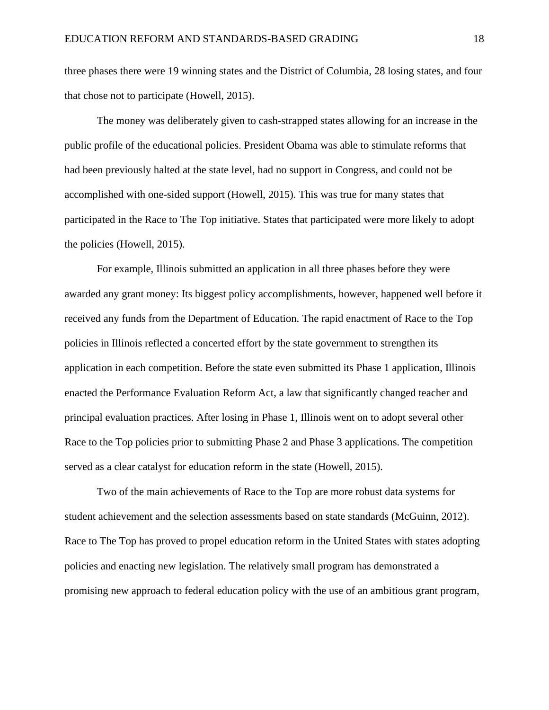three phases there were 19 winning states and the District of Columbia, 28 losing states, and four that chose not to participate (Howell, 2015).

The money was deliberately given to cash-strapped states allowing for an increase in the public profile of the educational policies. President Obama was able to stimulate reforms that had been previously halted at the state level, had no support in Congress, and could not be accomplished with one-sided support (Howell, 2015). This was true for many states that participated in the Race to The Top initiative. States that participated were more likely to adopt the policies (Howell, 2015).

For example, Illinois submitted an application in all three phases before they were awarded any grant money: Its biggest policy accomplishments, however, happened well before it received any funds from the Department of Education. The rapid enactment of Race to the Top policies in Illinois reflected a concerted effort by the state government to strengthen its application in each competition. Before the state even submitted its Phase 1 application, Illinois enacted the Performance Evaluation Reform Act, a law that significantly changed teacher and principal evaluation practices. After losing in Phase 1, Illinois went on to adopt several other Race to the Top policies prior to submitting Phase 2 and Phase 3 applications. The competition served as a clear catalyst for education reform in the state (Howell, 2015).

Two of the main achievements of Race to the Top are more robust data systems for student achievement and the selection assessments based on state standards (McGuinn, 2012). Race to The Top has proved to propel education reform in the United States with states adopting policies and enacting new legislation. The relatively small program has demonstrated a promising new approach to federal education policy with the use of an ambitious grant program,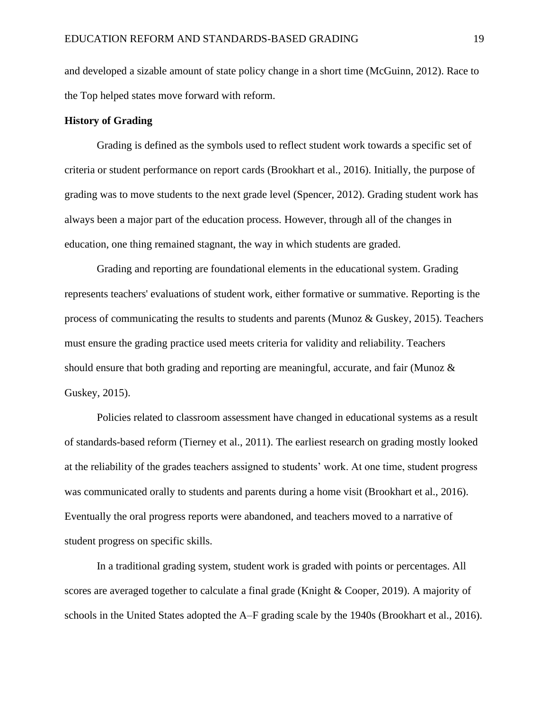and developed a sizable amount of state policy change in a short time (McGuinn, 2012). Race to the Top helped states move forward with reform.

# **History of Grading**

Grading is defined as the symbols used to reflect student work towards a specific set of criteria or student performance on report cards (Brookhart et al., 2016). Initially, the purpose of grading was to move students to the next grade level (Spencer, 2012). Grading student work has always been a major part of the education process. However, through all of the changes in education, one thing remained stagnant, the way in which students are graded.

Grading and reporting are foundational elements in the educational system. Grading represents teachers' evaluations of student work, either formative or summative. Reporting is the process of communicating the results to students and parents (Munoz & Guskey, 2015). Teachers must ensure the grading practice used meets criteria for validity and reliability. Teachers should ensure that both grading and reporting are meaningful, accurate, and fair (Munoz & Guskey, 2015).

Policies related to classroom assessment have changed in educational systems as a result of standards-based reform (Tierney et al., 2011). The earliest research on grading mostly looked at the reliability of the grades teachers assigned to students' work. At one time, student progress was communicated orally to students and parents during a home visit (Brookhart et al., 2016). Eventually the oral progress reports were abandoned, and teachers moved to a narrative of student progress on specific skills.

In a traditional grading system, student work is graded with points or percentages. All scores are averaged together to calculate a final grade (Knight & Cooper, 2019). A majority of schools in the United States adopted the A–F grading scale by the 1940s (Brookhart et al., 2016).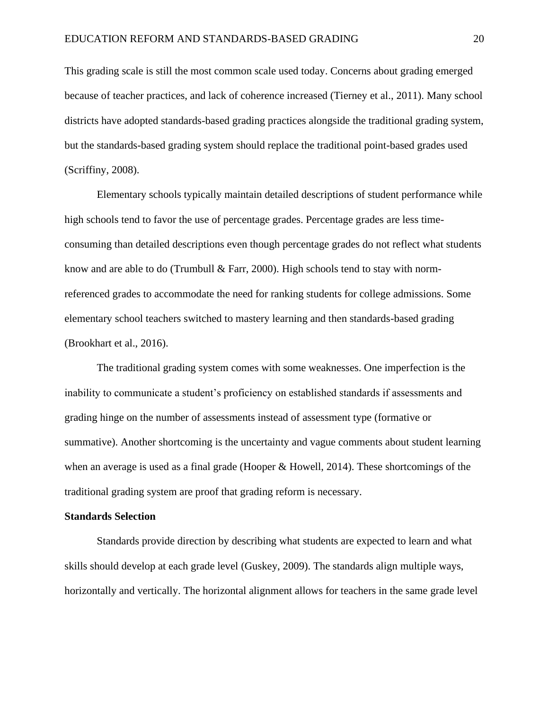This grading scale is still the most common scale used today. Concerns about grading emerged because of teacher practices, and lack of coherence increased (Tierney et al., 2011). Many school districts have adopted standards-based grading practices alongside the traditional grading system, but the standards-based grading system should replace the traditional point-based grades used (Scriffiny, 2008).

Elementary schools typically maintain detailed descriptions of student performance while high schools tend to favor the use of percentage grades. Percentage grades are less timeconsuming than detailed descriptions even though percentage grades do not reflect what students know and are able to do (Trumbull & Farr, 2000). High schools tend to stay with normreferenced grades to accommodate the need for ranking students for college admissions. Some elementary school teachers switched to mastery learning and then standards-based grading (Brookhart et al., 2016).

The traditional grading system comes with some weaknesses. One imperfection is the inability to communicate a student's proficiency on established standards if assessments and grading hinge on the number of assessments instead of assessment type (formative or summative). Another shortcoming is the uncertainty and vague comments about student learning when an average is used as a final grade (Hooper & Howell, 2014). These shortcomings of the traditional grading system are proof that grading reform is necessary.

#### **Standards Selection**

Standards provide direction by describing what students are expected to learn and what skills should develop at each grade level (Guskey, 2009). The standards align multiple ways, horizontally and vertically. The horizontal alignment allows for teachers in the same grade level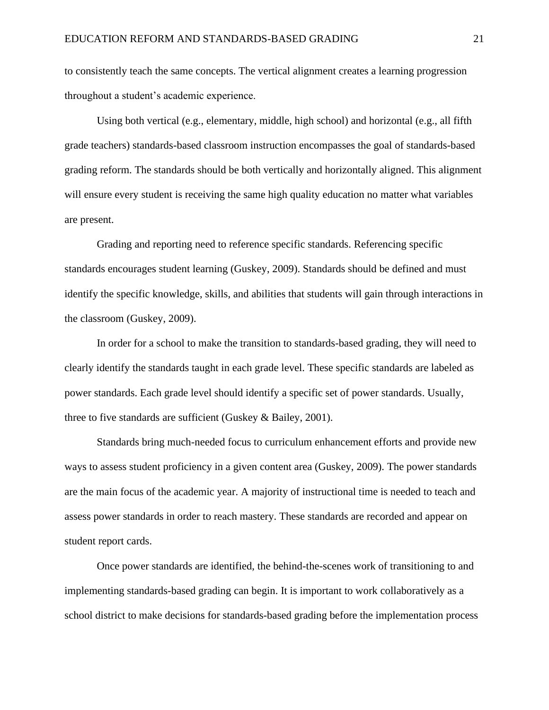to consistently teach the same concepts. The vertical alignment creates a learning progression throughout a student's academic experience.

Using both vertical (e.g., elementary, middle, high school) and horizontal (e.g., all fifth grade teachers) standards-based classroom instruction encompasses the goal of standards-based grading reform. The standards should be both vertically and horizontally aligned. This alignment will ensure every student is receiving the same high quality education no matter what variables are present.

Grading and reporting need to reference specific standards. Referencing specific standards encourages student learning (Guskey, 2009). Standards should be defined and must identify the specific knowledge, skills, and abilities that students will gain through interactions in the classroom (Guskey, 2009).

In order for a school to make the transition to standards-based grading, they will need to clearly identify the standards taught in each grade level. These specific standards are labeled as power standards. Each grade level should identify a specific set of power standards. Usually, three to five standards are sufficient (Guskey & Bailey, 2001).

Standards bring much-needed focus to curriculum enhancement efforts and provide new ways to assess student proficiency in a given content area (Guskey, 2009). The power standards are the main focus of the academic year. A majority of instructional time is needed to teach and assess power standards in order to reach mastery. These standards are recorded and appear on student report cards.

Once power standards are identified, the behind-the-scenes work of transitioning to and implementing standards-based grading can begin. It is important to work collaboratively as a school district to make decisions for standards-based grading before the implementation process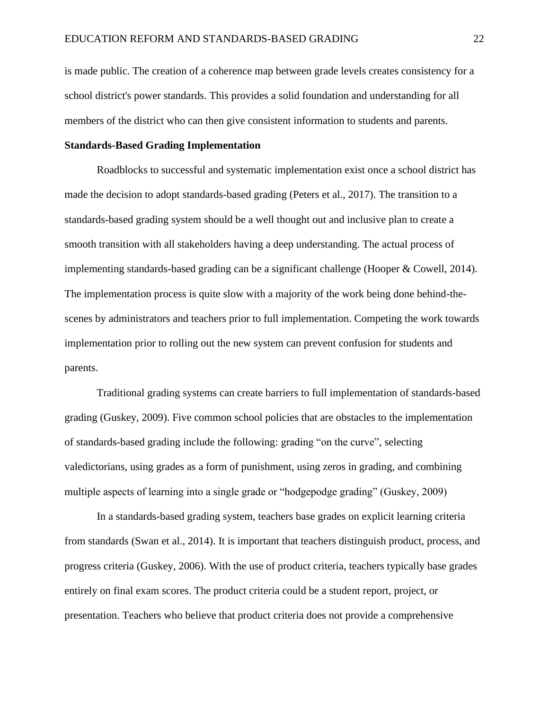is made public. The creation of a coherence map between grade levels creates consistency for a school district's power standards. This provides a solid foundation and understanding for all members of the district who can then give consistent information to students and parents.

# **Standards-Based Grading Implementation**

Roadblocks to successful and systematic implementation exist once a school district has made the decision to adopt standards-based grading (Peters et al., 2017). The transition to a standards-based grading system should be a well thought out and inclusive plan to create a smooth transition with all stakeholders having a deep understanding. The actual process of implementing standards-based grading can be a significant challenge (Hooper & Cowell, 2014). The implementation process is quite slow with a majority of the work being done behind-thescenes by administrators and teachers prior to full implementation. Competing the work towards implementation prior to rolling out the new system can prevent confusion for students and parents.

Traditional grading systems can create barriers to full implementation of standards-based grading (Guskey, 2009). Five common school policies that are obstacles to the implementation of standards-based grading include the following: grading "on the curve", selecting valedictorians, using grades as a form of punishment, using zeros in grading, and combining multiple aspects of learning into a single grade or "hodgepodge grading" (Guskey, 2009)

In a standards-based grading system, teachers base grades on explicit learning criteria from standards (Swan et al., 2014). It is important that teachers distinguish product, process, and progress criteria (Guskey, 2006). With the use of product criteria, teachers typically base grades entirely on final exam scores. The product criteria could be a student report, project, or presentation. Teachers who believe that product criteria does not provide a comprehensive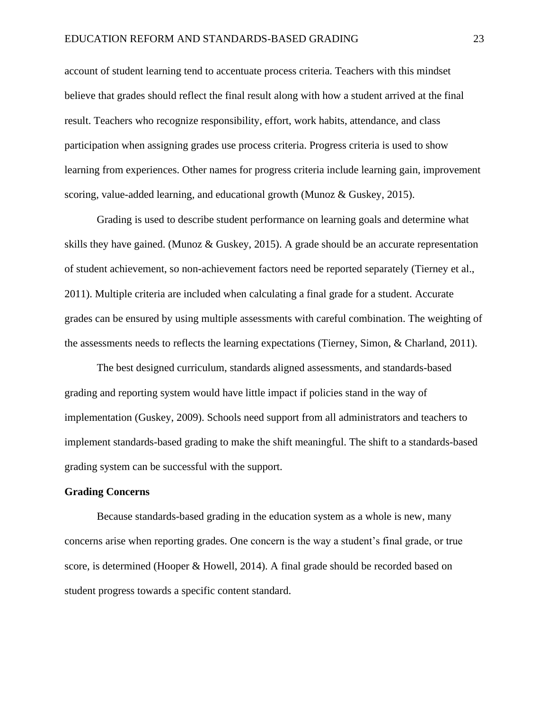account of student learning tend to accentuate process criteria. Teachers with this mindset believe that grades should reflect the final result along with how a student arrived at the final result. Teachers who recognize responsibility, effort, work habits, attendance, and class participation when assigning grades use process criteria. Progress criteria is used to show learning from experiences. Other names for progress criteria include learning gain, improvement scoring, value-added learning, and educational growth (Munoz & Guskey, 2015).

Grading is used to describe student performance on learning goals and determine what skills they have gained. (Munoz  $\&$  Guskey, 2015). A grade should be an accurate representation of student achievement, so non-achievement factors need be reported separately (Tierney et al., 2011). Multiple criteria are included when calculating a final grade for a student. Accurate grades can be ensured by using multiple assessments with careful combination. The weighting of the assessments needs to reflects the learning expectations (Tierney, Simon, & Charland, 2011).

The best designed curriculum, standards aligned assessments, and standards-based grading and reporting system would have little impact if policies stand in the way of implementation (Guskey, 2009). Schools need support from all administrators and teachers to implement standards-based grading to make the shift meaningful. The shift to a standards-based grading system can be successful with the support.

#### **Grading Concerns**

Because standards-based grading in the education system as a whole is new, many concerns arise when reporting grades. One concern is the way a student's final grade, or true score, is determined (Hooper & Howell, 2014). A final grade should be recorded based on student progress towards a specific content standard.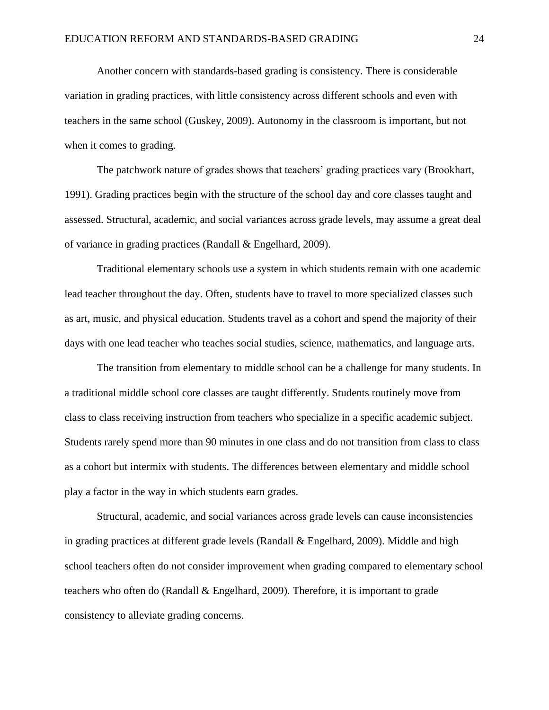Another concern with standards-based grading is consistency. There is considerable variation in grading practices, with little consistency across different schools and even with teachers in the same school (Guskey, 2009). Autonomy in the classroom is important, but not when it comes to grading.

The patchwork nature of grades shows that teachers' grading practices vary (Brookhart, 1991). Grading practices begin with the structure of the school day and core classes taught and assessed. Structural, academic, and social variances across grade levels, may assume a great deal of variance in grading practices (Randall & Engelhard, 2009).

Traditional elementary schools use a system in which students remain with one academic lead teacher throughout the day. Often, students have to travel to more specialized classes such as art, music, and physical education. Students travel as a cohort and spend the majority of their days with one lead teacher who teaches social studies, science, mathematics, and language arts.

The transition from elementary to middle school can be a challenge for many students. In a traditional middle school core classes are taught differently. Students routinely move from class to class receiving instruction from teachers who specialize in a specific academic subject. Students rarely spend more than 90 minutes in one class and do not transition from class to class as a cohort but intermix with students. The differences between elementary and middle school play a factor in the way in which students earn grades.

Structural, academic, and social variances across grade levels can cause inconsistencies in grading practices at different grade levels (Randall & Engelhard, 2009). Middle and high school teachers often do not consider improvement when grading compared to elementary school teachers who often do (Randall & Engelhard, 2009). Therefore, it is important to grade consistency to alleviate grading concerns.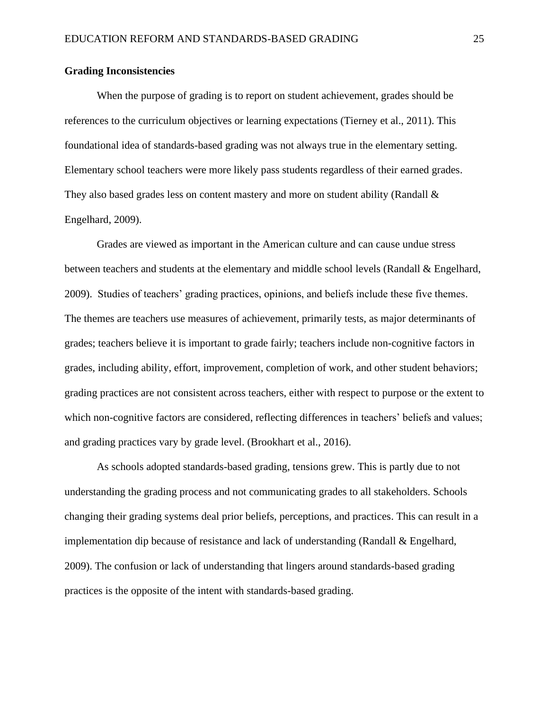# **Grading Inconsistencies**

When the purpose of grading is to report on student achievement, grades should be references to the curriculum objectives or learning expectations (Tierney et al., 2011). This foundational idea of standards-based grading was not always true in the elementary setting. Elementary school teachers were more likely pass students regardless of their earned grades. They also based grades less on content mastery and more on student ability (Randall  $\&$ Engelhard, 2009).

Grades are viewed as important in the American culture and can cause undue stress between teachers and students at the elementary and middle school levels (Randall & Engelhard, 2009). Studies of teachers' grading practices, opinions, and beliefs include these five themes. The themes are teachers use measures of achievement, primarily tests, as major determinants of grades; teachers believe it is important to grade fairly; teachers include non-cognitive factors in grades, including ability, effort, improvement, completion of work, and other student behaviors; grading practices are not consistent across teachers, either with respect to purpose or the extent to which non-cognitive factors are considered, reflecting differences in teachers' beliefs and values; and grading practices vary by grade level. (Brookhart et al., 2016).

As schools adopted standards-based grading, tensions grew. This is partly due to not understanding the grading process and not communicating grades to all stakeholders. Schools changing their grading systems deal prior beliefs, perceptions, and practices. This can result in a implementation dip because of resistance and lack of understanding (Randall & Engelhard, 2009). The confusion or lack of understanding that lingers around standards-based grading practices is the opposite of the intent with standards-based grading.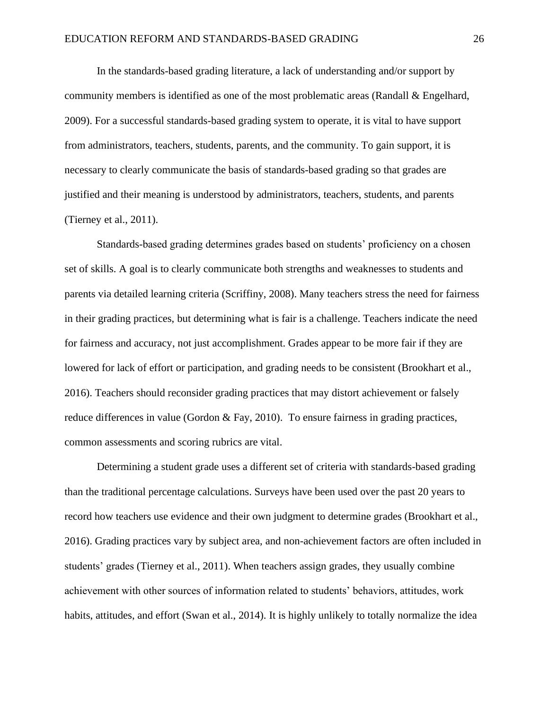In the standards-based grading literature, a lack of understanding and/or support by community members is identified as one of the most problematic areas (Randall & Engelhard, 2009). For a successful standards-based grading system to operate, it is vital to have support from administrators, teachers, students, parents, and the community. To gain support, it is necessary to clearly communicate the basis of standards-based grading so that grades are justified and their meaning is understood by administrators, teachers, students, and parents (Tierney et al., 2011).

Standards-based grading determines grades based on students' proficiency on a chosen set of skills. A goal is to clearly communicate both strengths and weaknesses to students and parents via detailed learning criteria (Scriffiny, 2008). Many teachers stress the need for fairness in their grading practices, but determining what is fair is a challenge. Teachers indicate the need for fairness and accuracy, not just accomplishment. Grades appear to be more fair if they are lowered for lack of effort or participation, and grading needs to be consistent (Brookhart et al., 2016). Teachers should reconsider grading practices that may distort achievement or falsely reduce differences in value (Gordon & Fay, 2010). To ensure fairness in grading practices, common assessments and scoring rubrics are vital.

Determining a student grade uses a different set of criteria with standards-based grading than the traditional percentage calculations. Surveys have been used over the past 20 years to record how teachers use evidence and their own judgment to determine grades (Brookhart et al., 2016). Grading practices vary by subject area, and non-achievement factors are often included in students' grades (Tierney et al., 2011). When teachers assign grades, they usually combine achievement with other sources of information related to students' behaviors, attitudes, work habits, attitudes, and effort (Swan et al., 2014). It is highly unlikely to totally normalize the idea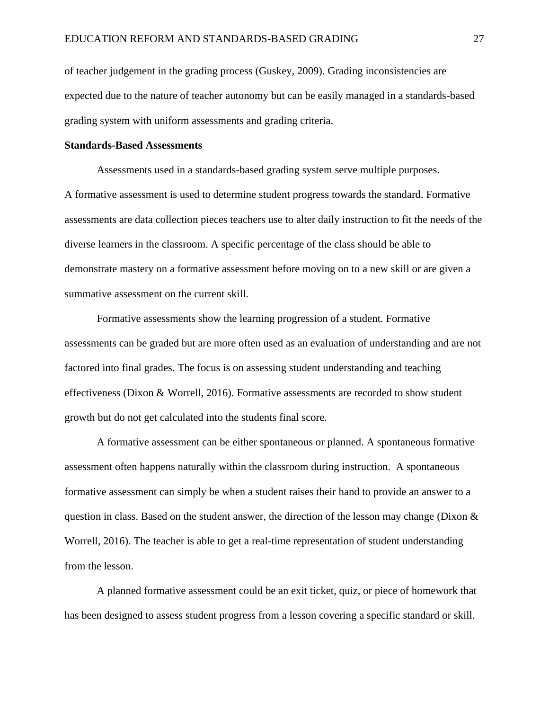of teacher judgement in the grading process (Guskey, 2009). Grading inconsistencies are expected due to the nature of teacher autonomy but can be easily managed in a standards-based grading system with uniform assessments and grading criteria.

#### **Standards-Based Assessments**

Assessments used in a standards-based grading system serve multiple purposes. A formative assessment is used to determine student progress towards the standard. Formative assessments are data collection pieces teachers use to alter daily instruction to fit the needs of the diverse learners in the classroom. A specific percentage of the class should be able to demonstrate mastery on a formative assessment before moving on to a new skill or are given a summative assessment on the current skill.

Formative assessments show the learning progression of a student. Formative assessments can be graded but are more often used as an evaluation of understanding and are not factored into final grades. The focus is on assessing student understanding and teaching effectiveness (Dixon & Worrell, 2016). Formative assessments are recorded to show student growth but do not get calculated into the students final score.

A formative assessment can be either spontaneous or planned. A spontaneous formative assessment often happens naturally within the classroom during instruction. A spontaneous formative assessment can simply be when a student raises their hand to provide an answer to a question in class. Based on the student answer, the direction of the lesson may change (Dixon  $\&$ Worrell, 2016). The teacher is able to get a real-time representation of student understanding from the lesson.

A planned formative assessment could be an exit ticket, quiz, or piece of homework that has been designed to assess student progress from a lesson covering a specific standard or skill.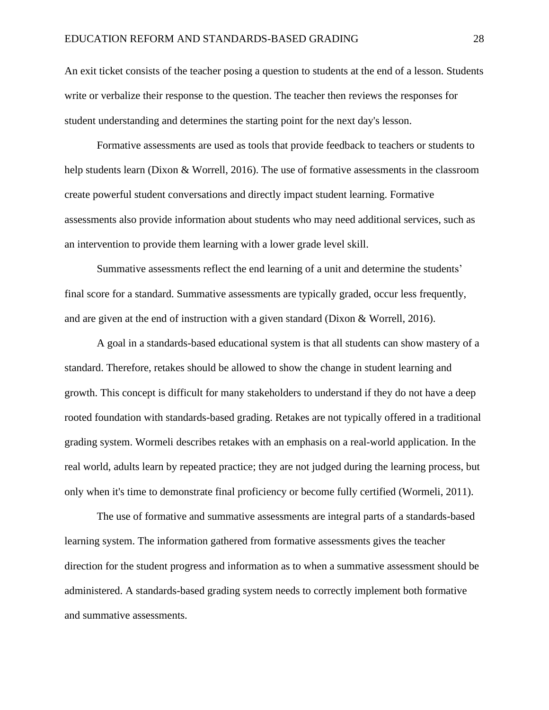An exit ticket consists of the teacher posing a question to students at the end of a lesson. Students write or verbalize their response to the question. The teacher then reviews the responses for student understanding and determines the starting point for the next day's lesson.

Formative assessments are used as tools that provide feedback to teachers or students to help students learn (Dixon & Worrell, 2016). The use of formative assessments in the classroom create powerful student conversations and directly impact student learning. Formative assessments also provide information about students who may need additional services, such as an intervention to provide them learning with a lower grade level skill.

Summative assessments reflect the end learning of a unit and determine the students' final score for a standard. Summative assessments are typically graded, occur less frequently, and are given at the end of instruction with a given standard (Dixon & Worrell, 2016).

A goal in a standards-based educational system is that all students can show mastery of a standard. Therefore, retakes should be allowed to show the change in student learning and growth. This concept is difficult for many stakeholders to understand if they do not have a deep rooted foundation with standards-based grading. Retakes are not typically offered in a traditional grading system. Wormeli describes retakes with an emphasis on a real-world application. In the real world, adults learn by repeated practice; they are not judged during the learning process, but only when it's time to demonstrate final proficiency or become fully certified (Wormeli, 2011).

The use of formative and summative assessments are integral parts of a standards-based learning system. The information gathered from formative assessments gives the teacher direction for the student progress and information as to when a summative assessment should be administered. A standards-based grading system needs to correctly implement both formative and summative assessments.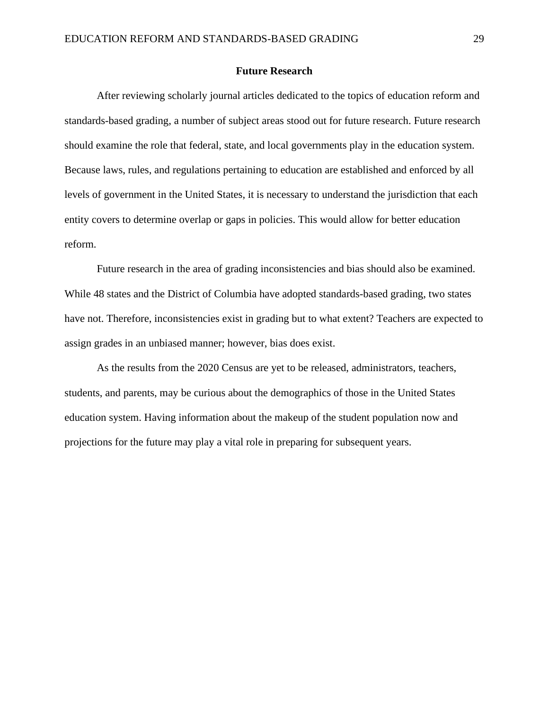#### **Future Research**

After reviewing scholarly journal articles dedicated to the topics of education reform and standards-based grading, a number of subject areas stood out for future research. Future research should examine the role that federal, state, and local governments play in the education system. Because laws, rules, and regulations pertaining to education are established and enforced by all levels of government in the United States, it is necessary to understand the jurisdiction that each entity covers to determine overlap or gaps in policies. This would allow for better education reform.

Future research in the area of grading inconsistencies and bias should also be examined. While 48 states and the District of Columbia have adopted standards-based grading, two states have not. Therefore, inconsistencies exist in grading but to what extent? Teachers are expected to assign grades in an unbiased manner; however, bias does exist.

As the results from the 2020 Census are yet to be released, administrators, teachers, students, and parents, may be curious about the demographics of those in the United States education system. Having information about the makeup of the student population now and projections for the future may play a vital role in preparing for subsequent years.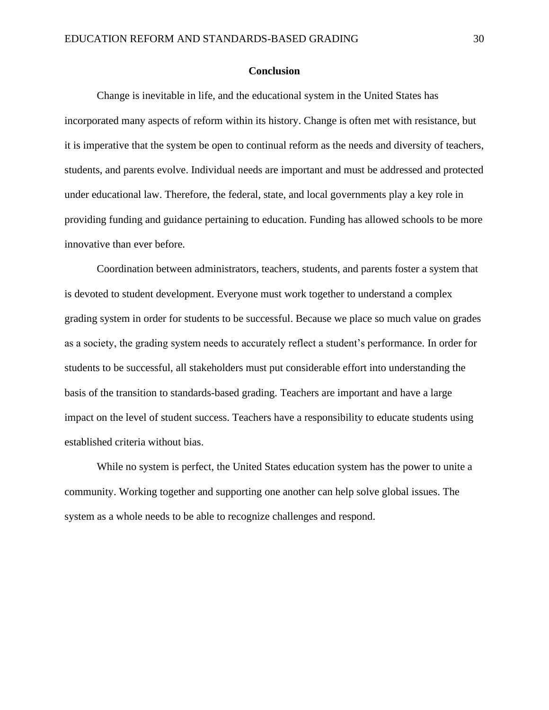#### **Conclusion**

Change is inevitable in life, and the educational system in the United States has incorporated many aspects of reform within its history. Change is often met with resistance, but it is imperative that the system be open to continual reform as the needs and diversity of teachers, students, and parents evolve. Individual needs are important and must be addressed and protected under educational law. Therefore, the federal, state, and local governments play a key role in providing funding and guidance pertaining to education. Funding has allowed schools to be more innovative than ever before.

Coordination between administrators, teachers, students, and parents foster a system that is devoted to student development. Everyone must work together to understand a complex grading system in order for students to be successful. Because we place so much value on grades as a society, the grading system needs to accurately reflect a student's performance. In order for students to be successful, all stakeholders must put considerable effort into understanding the basis of the transition to standards-based grading. Teachers are important and have a large impact on the level of student success. Teachers have a responsibility to educate students using established criteria without bias.

While no system is perfect, the United States education system has the power to unite a community. Working together and supporting one another can help solve global issues. The system as a whole needs to be able to recognize challenges and respond.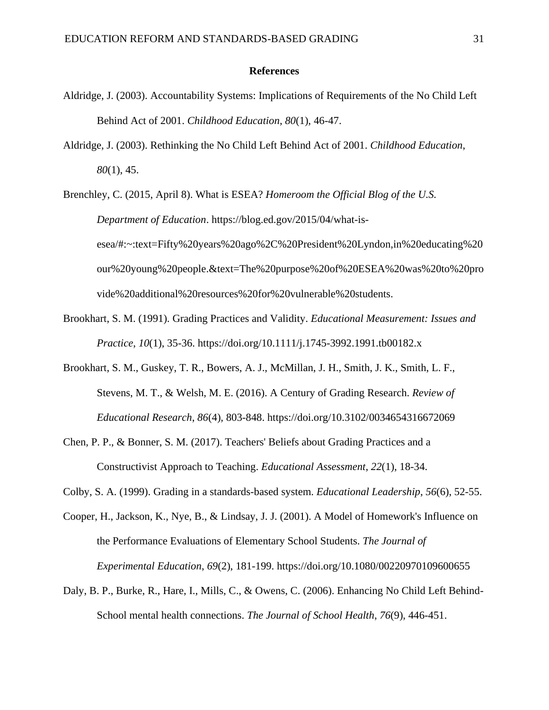#### **References**

- Aldridge, J. (2003). Accountability Systems: Implications of Requirements of the No Child Left Behind Act of 2001. *Childhood Education*, *80*(1), 46-47.
- Aldridge, J. (2003). Rethinking the No Child Left Behind Act of 2001. *Childhood Education*, *80*(1), 45.

Brenchley, C. (2015, April 8). What is ESEA? *Homeroom the Official Blog of the U.S. Department of Education*. https://blog.ed.gov/2015/04/what-isesea/#:~:text=Fifty%20years%20ago%2C%20President%20Lyndon,in%20educating%20 our%20young%20people.&text=The%20purpose%20of%20ESEA%20was%20to%20pro vide%20additional%20resources%20for%20vulnerable%20students.

- Brookhart, S. M. (1991). Grading Practices and Validity. *Educational Measurement: Issues and Practice*, *10*(1), 35-36. https://doi.org/10.1111/j.1745-3992.1991.tb00182.x
- Brookhart, S. M., Guskey, T. R., Bowers, A. J., McMillan, J. H., Smith, J. K., Smith, L. F., Stevens, M. T., & Welsh, M. E. (2016). A Century of Grading Research. *Review of Educational Research*, *86*(4), 803-848. https://doi.org/10.3102/0034654316672069
- Chen, P. P., & Bonner, S. M. (2017). Teachers' Beliefs about Grading Practices and a Constructivist Approach to Teaching. *Educational Assessment*, *22*(1), 18-34.
- Colby, S. A. (1999). Grading in a standards-based system. *Educational Leadership*, *56*(6), 52-55.
- Cooper, H., Jackson, K., Nye, B., & Lindsay, J. J. (2001). A Model of Homework's Influence on the Performance Evaluations of Elementary School Students. *The Journal of Experimental Education*, *69*(2), 181-199. https://doi.org/10.1080/00220970109600655
- Daly, B. P., Burke, R., Hare, I., Mills, C., & Owens, C. (2006). Enhancing No Child Left Behind-School mental health connections. *The Journal of School Health*, *76*(9), 446-451.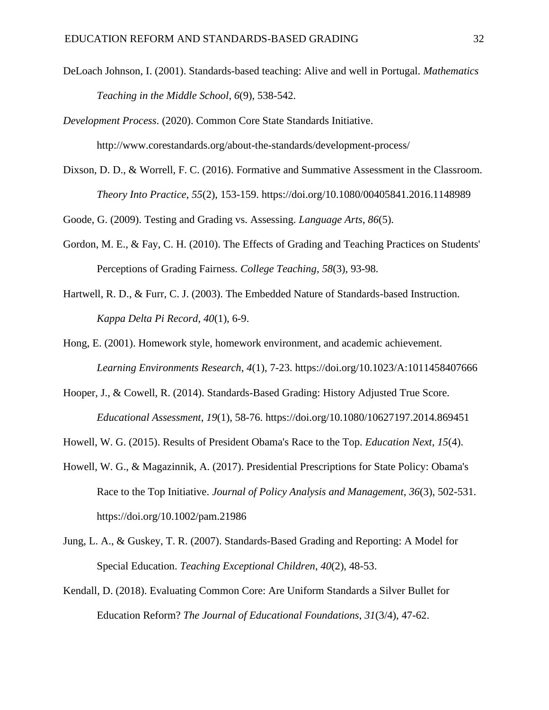- DeLoach Johnson, I. (2001). Standards-based teaching: Alive and well in Portugal. *Mathematics Teaching in the Middle School*, *6*(9), 538-542.
- *Development Process*. (2020). Common Core State Standards Initiative.

http://www.corestandards.org/about-the-standards/development-process/

Dixson, D. D., & Worrell, F. C. (2016). Formative and Summative Assessment in the Classroom. *Theory Into Practice*, *55*(2), 153-159. https://doi.org/10.1080/00405841.2016.1148989

Goode, G. (2009). Testing and Grading vs. Assessing. *Language Arts*, *86*(5).

- Gordon, M. E., & Fay, C. H. (2010). The Effects of Grading and Teaching Practices on Students' Perceptions of Grading Fairness. *College Teaching*, *58*(3), 93-98.
- Hartwell, R. D., & Furr, C. J. (2003). The Embedded Nature of Standards-based Instruction. *Kappa Delta Pi Record*, *40*(1), 6-9.
- Hong, E. (2001). Homework style, homework environment, and academic achievement. *Learning Environments Research*, *4*(1), 7-23. https://doi.org/10.1023/A:1011458407666
- Hooper, J., & Cowell, R. (2014). Standards-Based Grading: History Adjusted True Score. *Educational Assessment*, *19*(1), 58-76. https://doi.org/10.1080/10627197.2014.869451
- Howell, W. G. (2015). Results of President Obama's Race to the Top. *Education Next*, *15*(4).
- Howell, W. G., & Magazinnik, A. (2017). Presidential Prescriptions for State Policy: Obama's Race to the Top Initiative. *Journal of Policy Analysis and Management*, *36*(3), 502-531. https://doi.org/10.1002/pam.21986
- Jung, L. A., & Guskey, T. R. (2007). Standards-Based Grading and Reporting: A Model for Special Education. *Teaching Exceptional Children*, *40*(2), 48-53.
- Kendall, D. (2018). Evaluating Common Core: Are Uniform Standards a Silver Bullet for Education Reform? *The Journal of Educational Foundations*, *31*(3/4), 47-62.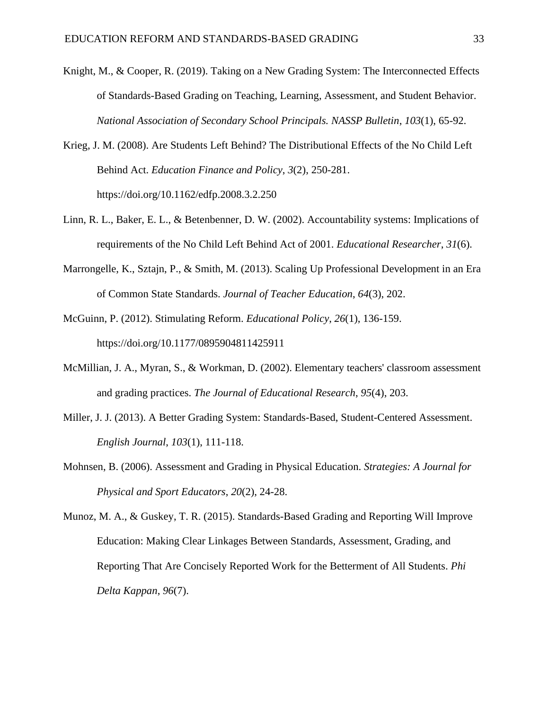- Knight, M., & Cooper, R. (2019). Taking on a New Grading System: The Interconnected Effects of Standards-Based Grading on Teaching, Learning, Assessment, and Student Behavior. *National Association of Secondary School Principals. NASSP Bulletin*, *103*(1), 65-92.
- Krieg, J. M. (2008). Are Students Left Behind? The Distributional Effects of the No Child Left Behind Act. *Education Finance and Policy*, *3*(2), 250-281. https://doi.org/10.1162/edfp.2008.3.2.250
- Linn, R. L., Baker, E. L., & Betenbenner, D. W. (2002). Accountability systems: Implications of requirements of the No Child Left Behind Act of 2001. *Educational Researcher*, *31*(6).
- Marrongelle, K., Sztajn, P., & Smith, M. (2013). Scaling Up Professional Development in an Era of Common State Standards. *Journal of Teacher Education*, *64*(3), 202.
- McGuinn, P. (2012). Stimulating Reform. *Educational Policy*, *26*(1), 136-159. https://doi.org/10.1177/0895904811425911
- McMillian, J. A., Myran, S., & Workman, D. (2002). Elementary teachers' classroom assessment and grading practices. *The Journal of Educational Research*, *95*(4), 203.
- Miller, J. J. (2013). A Better Grading System: Standards-Based, Student-Centered Assessment. *English Journal*, *103*(1), 111-118.
- Mohnsen, B. (2006). Assessment and Grading in Physical Education. *Strategies: A Journal for Physical and Sport Educators*, *20*(2), 24-28.

Munoz, M. A., & Guskey, T. R. (2015). Standards-Based Grading and Reporting Will Improve Education: Making Clear Linkages Between Standards, Assessment, Grading, and Reporting That Are Concisely Reported Work for the Betterment of All Students. *Phi Delta Kappan*, *96*(7).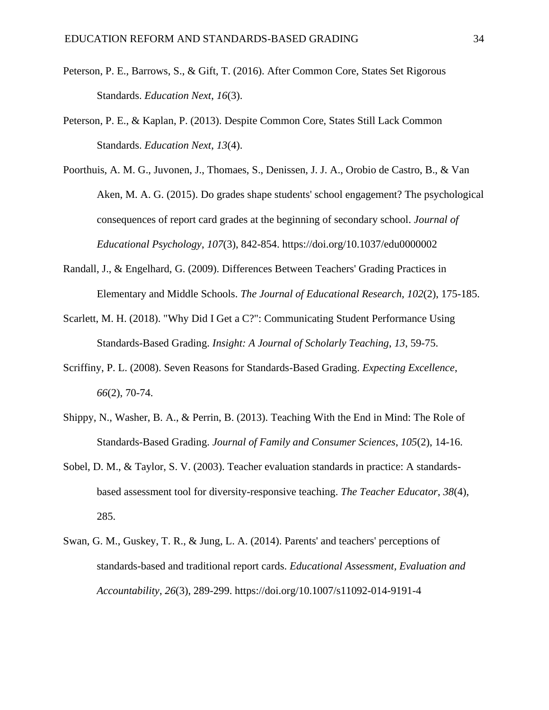- Peterson, P. E., Barrows, S., & Gift, T. (2016). After Common Core, States Set Rigorous Standards. *Education Next*, *16*(3).
- Peterson, P. E., & Kaplan, P. (2013). Despite Common Core, States Still Lack Common Standards. *Education Next*, *13*(4).
- Poorthuis, A. M. G., Juvonen, J., Thomaes, S., Denissen, J. J. A., Orobio de Castro, B., & Van Aken, M. A. G. (2015). Do grades shape students' school engagement? The psychological consequences of report card grades at the beginning of secondary school. *Journal of Educational Psychology*, *107*(3), 842-854. https://doi.org/10.1037/edu0000002
- Randall, J., & Engelhard, G. (2009). Differences Between Teachers' Grading Practices in Elementary and Middle Schools. *The Journal of Educational Research*, *102*(2), 175-185.
- Scarlett, M. H. (2018). "Why Did I Get a C?": Communicating Student Performance Using Standards-Based Grading. *Insight: A Journal of Scholarly Teaching*, *13*, 59-75.
- Scriffiny, P. L. (2008). Seven Reasons for Standards-Based Grading. *Expecting Excellence*, *66*(2), 70-74.
- Shippy, N., Washer, B. A., & Perrin, B. (2013). Teaching With the End in Mind: The Role of Standards-Based Grading. *Journal of Family and Consumer Sciences*, *105*(2), 14-16.
- Sobel, D. M., & Taylor, S. V. (2003). Teacher evaluation standards in practice: A standardsbased assessment tool for diversity-responsive teaching. *The Teacher Educator*, *38*(4), 285.
- Swan, G. M., Guskey, T. R., & Jung, L. A. (2014). Parents' and teachers' perceptions of standards-based and traditional report cards. *Educational Assessment, Evaluation and Accountability*, *26*(3), 289-299. https://doi.org/10.1007/s11092-014-9191-4